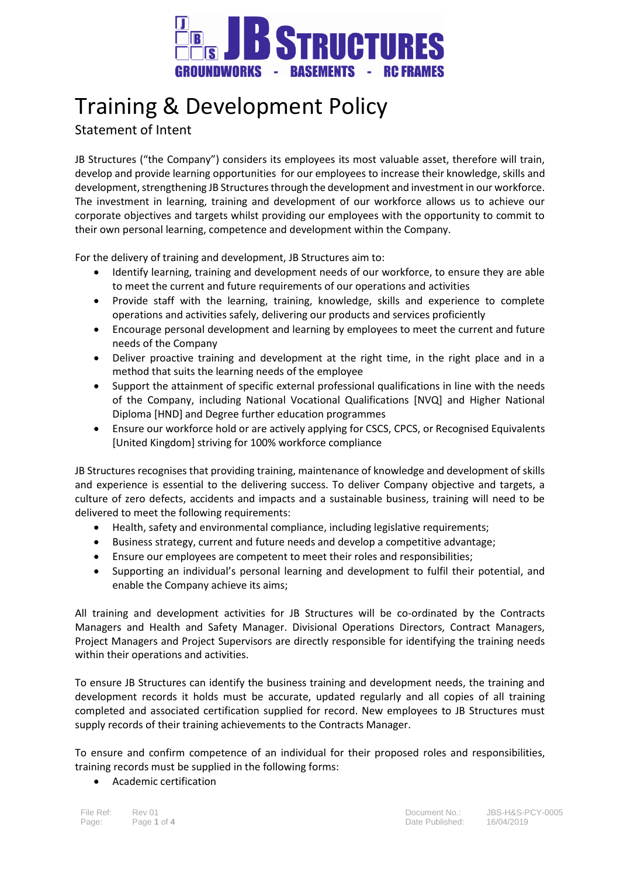

## Training & Development Policy

## Statement of Intent

JB Structures ("the Company") considers its employees its most valuable asset, therefore will train, develop and provide learning opportunities for our employees to increase their knowledge, skills and development, strengthening JB Structures through the development and investment in our workforce. The investment in learning, training and development of our workforce allows us to achieve our corporate objectives and targets whilst providing our employees with the opportunity to commit to their own personal learning, competence and development within the Company.

For the delivery of training and development, JB Structures aim to:

- Identify learning, training and development needs of our workforce, to ensure they are able to meet the current and future requirements of our operations and activities
- Provide staff with the learning, training, knowledge, skills and experience to complete operations and activities safely, delivering our products and services proficiently
- Encourage personal development and learning by employees to meet the current and future needs of the Company
- Deliver proactive training and development at the right time, in the right place and in a method that suits the learning needs of the employee
- Support the attainment of specific external professional qualifications in line with the needs of the Company, including National Vocational Qualifications [NVQ] and Higher National Diploma [HND] and Degree further education programmes
- Ensure our workforce hold or are actively applying for CSCS, CPCS, or Recognised Equivalents [United Kingdom] striving for 100% workforce compliance

JB Structures recognises that providing training, maintenance of knowledge and development of skills and experience is essential to the delivering success. To deliver Company objective and targets, a culture of zero defects, accidents and impacts and a sustainable business, training will need to be delivered to meet the following requirements:

- Health, safety and environmental compliance, including legislative requirements;
- Business strategy, current and future needs and develop a competitive advantage;
- Ensure our employees are competent to meet their roles and responsibilities;
- Supporting an individual's personal learning and development to fulfil their potential, and enable the Company achieve its aims;

All training and development activities for JB Structures will be co-ordinated by the Contracts Managers and Health and Safety Manager. Divisional Operations Directors, Contract Managers, Project Managers and Project Supervisors are directly responsible for identifying the training needs within their operations and activities.

To ensure JB Structures can identify the business training and development needs, the training and development records it holds must be accurate, updated regularly and all copies of all training completed and associated certification supplied for record. New employees to JB Structures must supply records of their training achievements to the Contracts Manager.

To ensure and confirm competence of an individual for their proposed roles and responsibilities, training records must be supplied in the following forms:

Academic certification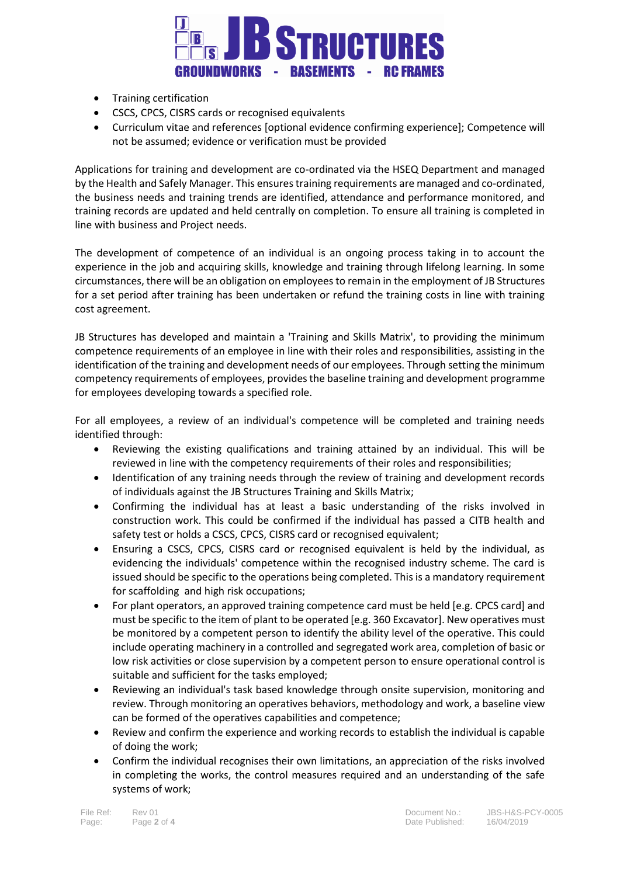

- Training certification
- CSCS, CPCS, CISRS cards or recognised equivalents
- Curriculum vitae and references [optional evidence confirming experience]; Competence will not be assumed; evidence or verification must be provided

Applications for training and development are co-ordinated via the HSEQ Department and managed by the Health and Safely Manager. This ensures training requirements are managed and co-ordinated, the business needs and training trends are identified, attendance and performance monitored, and training records are updated and held centrally on completion. To ensure all training is completed in line with business and Project needs.

The development of competence of an individual is an ongoing process taking in to account the experience in the job and acquiring skills, knowledge and training through lifelong learning. In some circumstances, there will be an obligation on employees to remain in the employment of JB Structures for a set period after training has been undertaken or refund the training costs in line with training cost agreement.

JB Structures has developed and maintain a 'Training and Skills Matrix', to providing the minimum competence requirements of an employee in line with their roles and responsibilities, assisting in the identification of the training and development needs of our employees. Through setting the minimum competency requirements of employees, provides the baseline training and development programme for employees developing towards a specified role.

For all employees, a review of an individual's competence will be completed and training needs identified through:

- Reviewing the existing qualifications and training attained by an individual. This will be reviewed in line with the competency requirements of their roles and responsibilities;
- Identification of any training needs through the review of training and development records of individuals against the JB Structures Training and Skills Matrix;
- Confirming the individual has at least a basic understanding of the risks involved in construction work. This could be confirmed if the individual has passed a CITB health and safety test or holds a CSCS, CPCS, CISRS card or recognised equivalent;
- Ensuring a CSCS, CPCS, CISRS card or recognised equivalent is held by the individual, as evidencing the individuals' competence within the recognised industry scheme. The card is issued should be specific to the operations being completed. This is a mandatory requirement for scaffolding and high risk occupations;
- For plant operators, an approved training competence card must be held [e.g. CPCS card] and must be specific to the item of plant to be operated [e.g. 360 Excavator]. New operatives must be monitored by a competent person to identify the ability level of the operative. This could include operating machinery in a controlled and segregated work area, completion of basic or low risk activities or close supervision by a competent person to ensure operational control is suitable and sufficient for the tasks employed;
- Reviewing an individual's task based knowledge through onsite supervision, monitoring and review. Through monitoring an operatives behaviors, methodology and work, a baseline view can be formed of the operatives capabilities and competence;
- Review and confirm the experience and working records to establish the individual is capable of doing the work;
- Confirm the individual recognises their own limitations, an appreciation of the risks involved in completing the works, the control measures required and an understanding of the safe systems of work;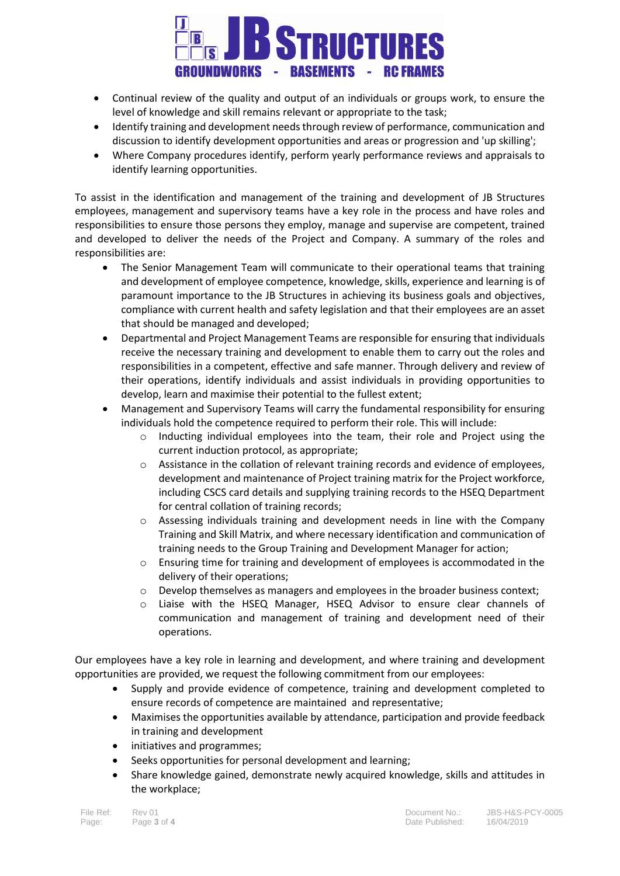

- Continual review of the quality and output of an individuals or groups work, to ensure the level of knowledge and skill remains relevant or appropriate to the task;
- Identify training and development needs through review of performance, communication and discussion to identify development opportunities and areas or progression and 'up skilling';
- Where Company procedures identify, perform yearly performance reviews and appraisals to identify learning opportunities.

To assist in the identification and management of the training and development of JB Structures employees, management and supervisory teams have a key role in the process and have roles and responsibilities to ensure those persons they employ, manage and supervise are competent, trained and developed to deliver the needs of the Project and Company. A summary of the roles and responsibilities are:

- The Senior Management Team will communicate to their operational teams that training and development of employee competence, knowledge, skills, experience and learning is of paramount importance to the JB Structures in achieving its business goals and objectives, compliance with current health and safety legislation and that their employees are an asset that should be managed and developed;
- Departmental and Project Management Teams are responsible for ensuring that individuals receive the necessary training and development to enable them to carry out the roles and responsibilities in a competent, effective and safe manner. Through delivery and review of their operations, identify individuals and assist individuals in providing opportunities to develop, learn and maximise their potential to the fullest extent;
- Management and Supervisory Teams will carry the fundamental responsibility for ensuring individuals hold the competence required to perform their role. This will include:
	- o Inducting individual employees into the team, their role and Project using the current induction protocol, as appropriate;
	- $\circ$  Assistance in the collation of relevant training records and evidence of employees, development and maintenance of Project training matrix for the Project workforce, including CSCS card details and supplying training records to the HSEQ Department for central collation of training records;
	- o Assessing individuals training and development needs in line with the Company Training and Skill Matrix, and where necessary identification and communication of training needs to the Group Training and Development Manager for action;
	- $\circ$  Ensuring time for training and development of employees is accommodated in the delivery of their operations;
	- o Develop themselves as managers and employees in the broader business context;
	- o Liaise with the HSEQ Manager, HSEQ Advisor to ensure clear channels of communication and management of training and development need of their operations.

Our employees have a key role in learning and development, and where training and development opportunities are provided, we request the following commitment from our employees:

- Supply and provide evidence of competence, training and development completed to ensure records of competence are maintained and representative;
- Maximises the opportunities available by attendance, participation and provide feedback in training and development
- initiatives and programmes;
- Seeks opportunities for personal development and learning;
- Share knowledge gained, demonstrate newly acquired knowledge, skills and attitudes in the workplace;